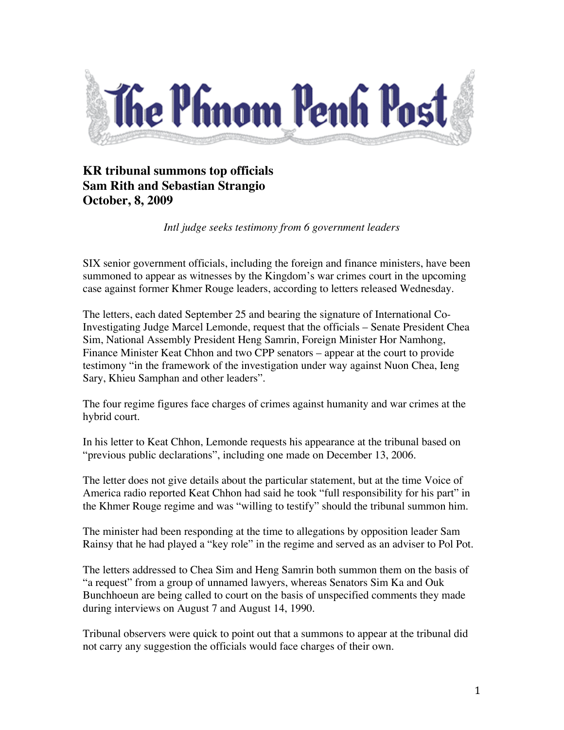

## **KR tribunal summons top officials Sam Rith and Sebastian Strangio October, 8, 2009**

*Intl judge seeks testimony from 6 government leaders*

SIX senior government officials, including the foreign and finance ministers, have been summoned to appear as witnesses by the Kingdom's war crimes court in the upcoming case against former Khmer Rouge leaders, according to letters released Wednesday.

The letters, each dated September 25 and bearing the signature of International Co-Investigating Judge Marcel Lemonde, request that the officials – Senate President Chea Sim, National Assembly President Heng Samrin, Foreign Minister Hor Namhong, Finance Minister Keat Chhon and two CPP senators – appear at the court to provide testimony "in the framework of the investigation under way against Nuon Chea, Ieng Sary, Khieu Samphan and other leaders".

The four regime figures face charges of crimes against humanity and war crimes at the hybrid court.

In his letter to Keat Chhon, Lemonde requests his appearance at the tribunal based on "previous public declarations", including one made on December 13, 2006.

The letter does not give details about the particular statement, but at the time Voice of America radio reported Keat Chhon had said he took "full responsibility for his part" in the Khmer Rouge regime and was "willing to testify" should the tribunal summon him.

The minister had been responding at the time to allegations by opposition leader Sam Rainsy that he had played a "key role" in the regime and served as an adviser to Pol Pot.

The letters addressed to Chea Sim and Heng Samrin both summon them on the basis of "a request" from a group of unnamed lawyers, whereas Senators Sim Ka and Ouk Bunchhoeun are being called to court on the basis of unspecified comments they made during interviews on August 7 and August 14, 1990.

Tribunal observers were quick to point out that a summons to appear at the tribunal did not carry any suggestion the officials would face charges of their own.